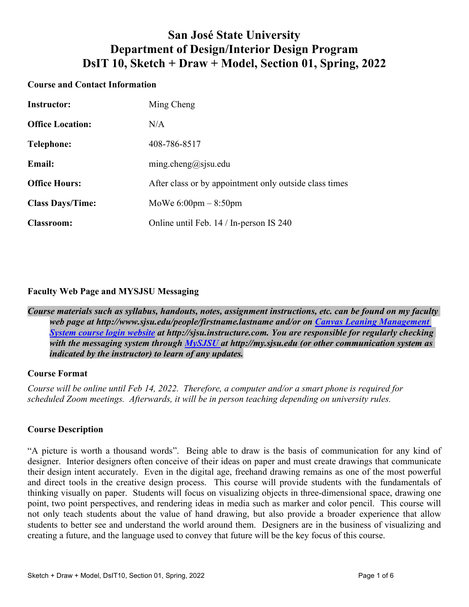# **San José State University Department of Design/Interior Design Program DsIT 10, Sketch + Draw + Model, Section 01, Spring, 2022**

## **Course and Contact Information**

| <b>Instructor:</b>      | Ming Cheng                                             |
|-------------------------|--------------------------------------------------------|
| <b>Office Location:</b> | N/A                                                    |
| Telephone:              | 408-786-8517                                           |
| <b>Email:</b>           | ming.cheng@sjsu.edu                                    |
| <b>Office Hours:</b>    | After class or by appointment only outside class times |
| <b>Class Days/Time:</b> | MoWe $6:00 \text{pm} - 8:50 \text{pm}$                 |
| <b>Classroom:</b>       | Online until Feb. 14 / In-person IS 240                |

## **Faculty Web Page and MYSJSU Messaging**

*Course materials such as syllabus, handouts, notes, assignment instructions, etc. can be found on my faculty web page at http://www.sjsu.edu/people/firstname.lastname and/or on Canvas Leaning Management System course login website at http://sjsu.instructure.com. You are responsible for regularly checking with the messaging system through MySJSU at http://my.sjsu.edu (or other communication system as indicated by the instructor) to learn of any updates.* 

## **Course Format**

*Course will be online until Feb 14, 2022. Therefore, a computer and/or a smart phone is required for scheduled Zoom meetings. Afterwards, it will be in person teaching depending on university rules.* 

### **Course Description**

"A picture is worth a thousand words". Being able to draw is the basis of communication for any kind of designer. Interior designers often conceive of their ideas on paper and must create drawings that communicate their design intent accurately. Even in the digital age, freehand drawing remains as one of the most powerful and direct tools in the creative design process. This course will provide students with the fundamentals of thinking visually on paper. Students will focus on visualizing objects in three-dimensional space, drawing one point, two point perspectives, and rendering ideas in media such as marker and color pencil. This course will not only teach students about the value of hand drawing, but also provide a broader experience that allow students to better see and understand the world around them. Designers are in the business of visualizing and creating a future, and the language used to convey that future will be the key focus of this course.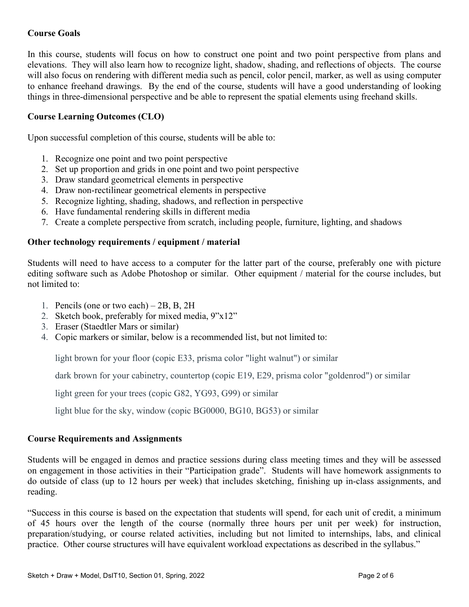# **Course Goals**

In this course, students will focus on how to construct one point and two point perspective from plans and elevations. They will also learn how to recognize light, shadow, shading, and reflections of objects. The course will also focus on rendering with different media such as pencil, color pencil, marker, as well as using computer to enhance freehand drawings. By the end of the course, students will have a good understanding of looking things in three-dimensional perspective and be able to represent the spatial elements using freehand skills.

## **Course Learning Outcomes (CLO)**

Upon successful completion of this course, students will be able to:

- 1. Recognize one point and two point perspective
- 2. Set up proportion and grids in one point and two point perspective
- 3. Draw standard geometrical elements in perspective
- 4. Draw non-rectilinear geometrical elements in perspective
- 5. Recognize lighting, shading, shadows, and reflection in perspective
- 6. Have fundamental rendering skills in different media
- 7. Create a complete perspective from scratch, including people, furniture, lighting, and shadows

#### **Other technology requirements / equipment / material**

Students will need to have access to a computer for the latter part of the course, preferably one with picture editing software such as Adobe Photoshop or similar. Other equipment / material for the course includes, but not limited to:

- 1. Pencils (one or two each) 2B, B, 2H
- 2. Sketch book, preferably for mixed media, 9"x12"
- 3. Eraser (Staedtler Mars or similar)
- 4. Copic markers or similar, below is a recommended list, but not limited to:

light brown for your floor (copic E33, prisma color "light walnut") or similar

dark brown for your cabinetry, countertop (copic E19, E29, prisma color "goldenrod") or similar

light green for your trees (copic G82, YG93, G99) or similar

light blue for the sky, window (copic BG0000, BG10, BG53) or similar

#### **Course Requirements and Assignments**

Students will be engaged in demos and practice sessions during class meeting times and they will be assessed on engagement in those activities in their "Participation grade". Students will have homework assignments to do outside of class (up to 12 hours per week) that includes sketching, finishing up in-class assignments, and reading.

"Success in this course is based on the expectation that students will spend, for each unit of credit, a minimum of 45 hours over the length of the course (normally three hours per unit per week) for instruction, preparation/studying, or course related activities, including but not limited to internships, labs, and clinical practice. Other course structures will have equivalent workload expectations as described in the syllabus."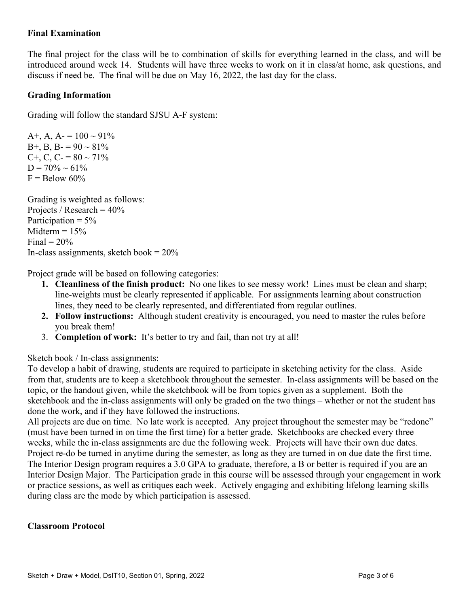## **Final Examination**

The final project for the class will be to combination of skills for everything learned in the class, and will be introduced around week 14. Students will have three weeks to work on it in class/at home, ask questions, and discuss if need be. The final will be due on May 16, 2022, the last day for the class.

## **Grading Information**

Grading will follow the standard SJSU A-F system:

A+, A, A =  $100 \sim 91\%$ B+, B, B- =  $90 \sim 81\%$ C+, C, C- =  $80 \sim 71\%$  $D = 70\% \sim 61\%$  $F =$ Below 60%

Grading is weighted as follows: Projects / Research  $= 40\%$ Participation  $= 5\%$ Midterm  $= 15\%$ Final  $= 20\%$ In-class assignments, sketch book =  $20\%$ 

Project grade will be based on following categories:

- **1. Cleanliness of the finish product:** No one likes to see messy work! Lines must be clean and sharp; line-weights must be clearly represented if applicable. For assignments learning about construction lines, they need to be clearly represented, and differentiated from regular outlines.
- **2. Follow instructions:** Although student creativity is encouraged, you need to master the rules before you break them!
- 3. **Completion of work:** It's better to try and fail, than not try at all!

Sketch book / In-class assignments:

To develop a habit of drawing, students are required to participate in sketching activity for the class. Aside from that, students are to keep a sketchbook throughout the semester. In-class assignments will be based on the topic, or the handout given, while the sketchbook will be from topics given as a supplement. Both the sketchbook and the in-class assignments will only be graded on the two things – whether or not the student has done the work, and if they have followed the instructions.

All projects are due on time. No late work is accepted. Any project throughout the semester may be "redone" (must have been turned in on time the first time) for a better grade. Sketchbooks are checked every three weeks, while the in-class assignments are due the following week. Projects will have their own due dates. Project re-do be turned in anytime during the semester, as long as they are turned in on due date the first time. The Interior Design program requires a 3.0 GPA to graduate, therefore, a B or better is required if you are an Interior Design Major. The Participation grade in this course will be assessed through your engagement in work or practice sessions, as well as critiques each week. Actively engaging and exhibiting lifelong learning skills during class are the mode by which participation is assessed.

### **Classroom Protocol**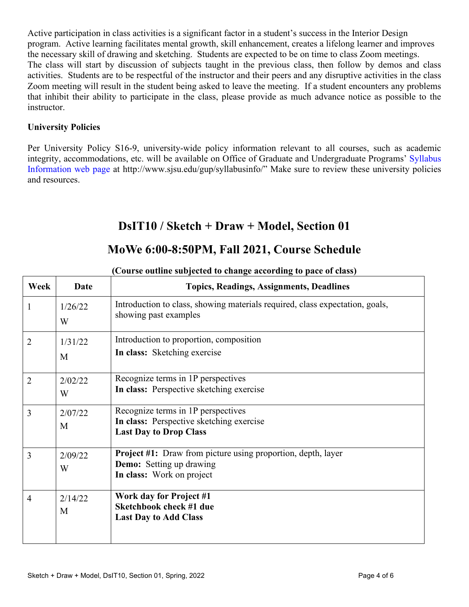Active participation in class activities is a significant factor in a student's success in the Interior Design program. Active learning facilitates mental growth, skill enhancement, creates a lifelong learner and improves the necessary skill of drawing and sketching. Students are expected to be on time to class Zoom meetings. The class will start by discussion of subjects taught in the previous class, then follow by demos and class activities. Students are to be respectful of the instructor and their peers and any disruptive activities in the class Zoom meeting will result in the student being asked to leave the meeting. If a student encounters any problems that inhibit their ability to participate in the class, please provide as much advance notice as possible to the instructor.

# **University Policies**

Per University Policy S16-9, university-wide policy information relevant to all courses, such as academic integrity, accommodations, etc. will be available on Office of Graduate and Undergraduate Programs' Syllabus Information web page at http://www.sjsu.edu/gup/syllabusinfo/" Make sure to review these university policies and resources.

# **DsIT10 / Sketch + Draw + Model, Section 01**

# **MoWe 6:00-8:50PM, Fall 2021, Course Schedule**

| Week           | Date         | <b>Topics, Readings, Assignments, Deadlines</b>                                                                              |
|----------------|--------------|------------------------------------------------------------------------------------------------------------------------------|
| $\mathbf{1}$   | 1/26/22<br>W | Introduction to class, showing materials required, class expectation, goals,<br>showing past examples                        |
| $\overline{2}$ | 1/31/22<br>M | Introduction to proportion, composition<br>In class: Sketching exercise                                                      |
| $\overline{2}$ | 2/02/22<br>W | Recognize terms in 1P perspectives<br>In class: Perspective sketching exercise                                               |
| 3              | 2/07/22<br>M | Recognize terms in 1P perspectives<br>In class: Perspective sketching exercise<br><b>Last Day to Drop Class</b>              |
| 3              | 2/09/22<br>W | <b>Project #1:</b> Draw from picture using proportion, depth, layer<br>Demo: Setting up drawing<br>In class: Work on project |
| $\overline{4}$ | 2/14/22<br>M | Work day for Project #1<br>Sketchbook check #1 due<br><b>Last Day to Add Class</b>                                           |

### **(Course outline subjected to change according to pace of class)**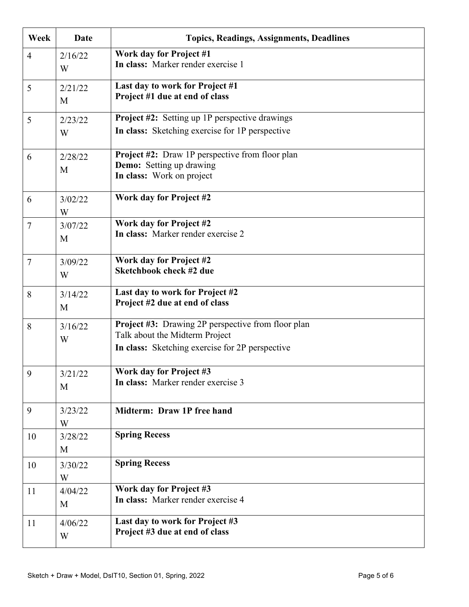| Week           | Date         | <b>Topics, Readings, Assignments, Deadlines</b>                                                                                                |
|----------------|--------------|------------------------------------------------------------------------------------------------------------------------------------------------|
| $\overline{4}$ | 2/16/22<br>W | <b>Work day for Project #1</b><br>In class: Marker render exercise 1                                                                           |
| 5              | 2/21/22<br>M | Last day to work for Project #1<br>Project #1 due at end of class                                                                              |
| 5              | 2/23/22<br>W | <b>Project #2:</b> Setting up 1P perspective drawings<br>In class: Sketching exercise for 1P perspective                                       |
| 6              | 2/28/22<br>M | <b>Project #2:</b> Draw 1P perspective from floor plan<br><b>Demo:</b> Setting up drawing<br>In class: Work on project                         |
| 6              | 3/02/22<br>W | Work day for Project #2                                                                                                                        |
| $\overline{7}$ | 3/07/22<br>M | Work day for Project #2<br>In class: Marker render exercise 2                                                                                  |
| $\overline{7}$ | 3/09/22<br>W | Work day for Project #2<br><b>Sketchbook check #2 due</b>                                                                                      |
| 8              | 3/14/22<br>M | Last day to work for Project #2<br>Project #2 due at end of class                                                                              |
| 8              | 3/16/22<br>W | <b>Project #3:</b> Drawing 2P perspective from floor plan<br>Talk about the Midterm Project<br>In class: Sketching exercise for 2P perspective |
| 9              | 3/21/22<br>M | Work day for Project #3<br>In class: Marker render exercise 3                                                                                  |
| 9              | 3/23/22<br>W | Midterm: Draw 1P free hand                                                                                                                     |
| 10             | 3/28/22<br>M | <b>Spring Recess</b>                                                                                                                           |
| 10             | 3/30/22<br>W | <b>Spring Recess</b>                                                                                                                           |
| 11             | 4/04/22<br>M | Work day for Project #3<br>In class: Marker render exercise 4                                                                                  |
| 11             | 4/06/22<br>W | Last day to work for Project #3<br>Project #3 due at end of class                                                                              |